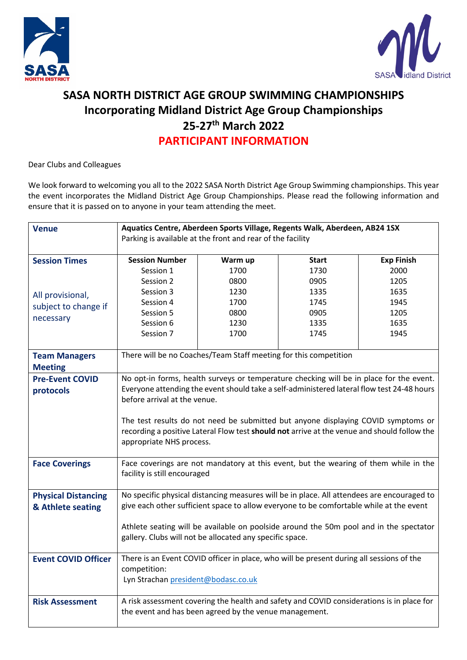



## **SASA NORTH DISTRICT AGE GROUP SWIMMING CHAMPIONSHIPS Incorporating Midland District Age Group Championships 25-27th March 2022 PARTICIPANT INFORMATION**

Dear Clubs and Colleagues

We look forward to welcoming you all to the 2022 SASA North District Age Group Swimming championships. This year the event incorporates the Midland District Age Group Championships. Please read the following information and ensure that it is passed on to anyone in your team attending the meet.

| <b>Venue</b>                                    | Aquatics Centre, Aberdeen Sports Village, Regents Walk, Aberdeen, AB24 1SX<br>Parking is available at the front and rear of the facility                                                                                                                                                                                                                                                                                              |         |              |                   |  |
|-------------------------------------------------|---------------------------------------------------------------------------------------------------------------------------------------------------------------------------------------------------------------------------------------------------------------------------------------------------------------------------------------------------------------------------------------------------------------------------------------|---------|--------------|-------------------|--|
| <b>Session Times</b>                            | <b>Session Number</b>                                                                                                                                                                                                                                                                                                                                                                                                                 | Warm up | <b>Start</b> | <b>Exp Finish</b> |  |
|                                                 | Session 1                                                                                                                                                                                                                                                                                                                                                                                                                             | 1700    | 1730         | 2000              |  |
|                                                 | Session 2                                                                                                                                                                                                                                                                                                                                                                                                                             | 0800    | 0905         | 1205              |  |
| All provisional,                                | Session 3                                                                                                                                                                                                                                                                                                                                                                                                                             | 1230    | 1335         | 1635              |  |
| subject to change if                            | Session 4                                                                                                                                                                                                                                                                                                                                                                                                                             | 1700    | 1745         | 1945              |  |
| necessary                                       | Session 5                                                                                                                                                                                                                                                                                                                                                                                                                             | 0800    | 0905         | 1205              |  |
|                                                 | Session 6                                                                                                                                                                                                                                                                                                                                                                                                                             | 1230    | 1335         | 1635              |  |
|                                                 | Session 7                                                                                                                                                                                                                                                                                                                                                                                                                             | 1700    | 1745         | 1945              |  |
| <b>Team Managers</b><br><b>Meeting</b>          | There will be no Coaches/Team Staff meeting for this competition                                                                                                                                                                                                                                                                                                                                                                      |         |              |                   |  |
| <b>Pre-Event COVID</b><br>protocols             | No opt-in forms, health surveys or temperature checking will be in place for the event.<br>Everyone attending the event should take a self-administered lateral flow test 24-48 hours<br>before arrival at the venue.<br>The test results do not need be submitted but anyone displaying COVID symptoms or<br>recording a positive Lateral Flow test should not arrive at the venue and should follow the<br>appropriate NHS process. |         |              |                   |  |
| <b>Face Coverings</b>                           | Face coverings are not mandatory at this event, but the wearing of them while in the<br>facility is still encouraged                                                                                                                                                                                                                                                                                                                  |         |              |                   |  |
| <b>Physical Distancing</b><br>& Athlete seating | No specific physical distancing measures will be in place. All attendees are encouraged to<br>give each other sufficient space to allow everyone to be comfortable while at the event<br>Athlete seating will be available on poolside around the 50m pool and in the spectator                                                                                                                                                       |         |              |                   |  |
|                                                 | gallery. Clubs will not be allocated any specific space.                                                                                                                                                                                                                                                                                                                                                                              |         |              |                   |  |
| <b>Event COVID Officer</b>                      | There is an Event COVID officer in place, who will be present during all sessions of the<br>competition:<br>Lyn Strachan president@bodasc.co.uk                                                                                                                                                                                                                                                                                       |         |              |                   |  |
| <b>Risk Assessment</b>                          | A risk assessment covering the health and safety and COVID considerations is in place for<br>the event and has been agreed by the venue management.                                                                                                                                                                                                                                                                                   |         |              |                   |  |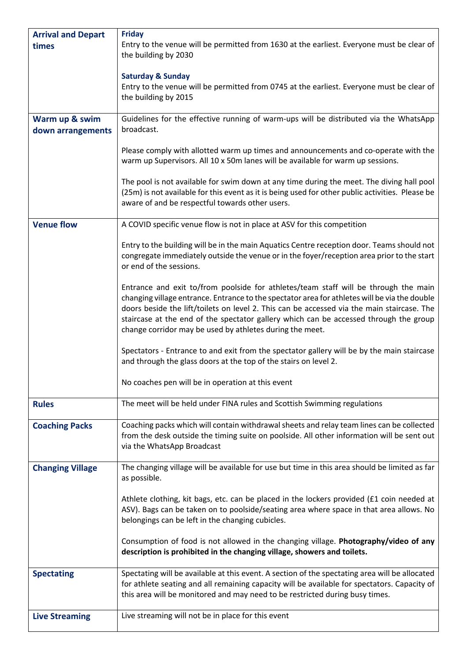| <b>Arrival and Depart</b> | <b>Friday</b>                                                                                                                                                                                                                                                                                                                                                                                                                           |  |  |
|---------------------------|-----------------------------------------------------------------------------------------------------------------------------------------------------------------------------------------------------------------------------------------------------------------------------------------------------------------------------------------------------------------------------------------------------------------------------------------|--|--|
| times                     | Entry to the venue will be permitted from 1630 at the earliest. Everyone must be clear of<br>the building by 2030                                                                                                                                                                                                                                                                                                                       |  |  |
|                           | <b>Saturday &amp; Sunday</b>                                                                                                                                                                                                                                                                                                                                                                                                            |  |  |
|                           | Entry to the venue will be permitted from 0745 at the earliest. Everyone must be clear of<br>the building by 2015                                                                                                                                                                                                                                                                                                                       |  |  |
|                           |                                                                                                                                                                                                                                                                                                                                                                                                                                         |  |  |
| Warm up & swim            | Guidelines for the effective running of warm-ups will be distributed via the WhatsApp<br>broadcast.                                                                                                                                                                                                                                                                                                                                     |  |  |
| down arrangements         |                                                                                                                                                                                                                                                                                                                                                                                                                                         |  |  |
|                           | Please comply with allotted warm up times and announcements and co-operate with the<br>warm up Supervisors. All 10 x 50m lanes will be available for warm up sessions.                                                                                                                                                                                                                                                                  |  |  |
|                           | The pool is not available for swim down at any time during the meet. The diving hall pool<br>(25m) is not available for this event as it is being used for other public activities. Please be<br>aware of and be respectful towards other users.                                                                                                                                                                                        |  |  |
| <b>Venue flow</b>         | A COVID specific venue flow is not in place at ASV for this competition                                                                                                                                                                                                                                                                                                                                                                 |  |  |
|                           | Entry to the building will be in the main Aquatics Centre reception door. Teams should not<br>congregate immediately outside the venue or in the foyer/reception area prior to the start<br>or end of the sessions.                                                                                                                                                                                                                     |  |  |
|                           | Entrance and exit to/from poolside for athletes/team staff will be through the main<br>changing village entrance. Entrance to the spectator area for athletes will be via the double<br>doors beside the lift/toilets on level 2. This can be accessed via the main staircase. The<br>staircase at the end of the spectator gallery which can be accessed through the group<br>change corridor may be used by athletes during the meet. |  |  |
|                           | Spectators - Entrance to and exit from the spectator gallery will be by the main staircase<br>and through the glass doors at the top of the stairs on level 2.                                                                                                                                                                                                                                                                          |  |  |
|                           | No coaches pen will be in operation at this event                                                                                                                                                                                                                                                                                                                                                                                       |  |  |
| <b>Rules</b>              | The meet will be held under FINA rules and Scottish Swimming regulations                                                                                                                                                                                                                                                                                                                                                                |  |  |
| <b>Coaching Packs</b>     | Coaching packs which will contain withdrawal sheets and relay team lines can be collected<br>from the desk outside the timing suite on poolside. All other information will be sent out<br>via the WhatsApp Broadcast                                                                                                                                                                                                                   |  |  |
| <b>Changing Village</b>   | The changing village will be available for use but time in this area should be limited as far<br>as possible.                                                                                                                                                                                                                                                                                                                           |  |  |
|                           | Athlete clothing, kit bags, etc. can be placed in the lockers provided (£1 coin needed at<br>ASV). Bags can be taken on to poolside/seating area where space in that area allows. No<br>belongings can be left in the changing cubicles.                                                                                                                                                                                                |  |  |
|                           | Consumption of food is not allowed in the changing village. Photography/video of any<br>description is prohibited in the changing village, showers and toilets.                                                                                                                                                                                                                                                                         |  |  |
| <b>Spectating</b>         | Spectating will be available at this event. A section of the spectating area will be allocated<br>for athlete seating and all remaining capacity will be available for spectators. Capacity of<br>this area will be monitored and may need to be restricted during busy times.                                                                                                                                                          |  |  |
| <b>Live Streaming</b>     | Live streaming will not be in place for this event                                                                                                                                                                                                                                                                                                                                                                                      |  |  |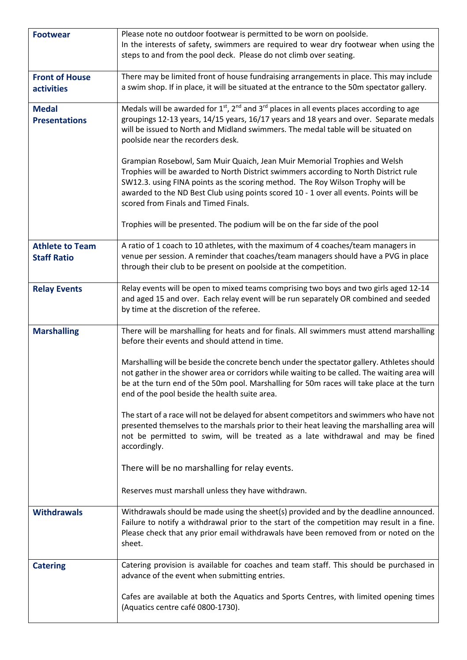| <b>Footwear</b>                              | Please note no outdoor footwear is permitted to be worn on poolside.<br>In the interests of safety, swimmers are required to wear dry footwear when using the<br>steps to and from the pool deck. Please do not climb over seating.                                                                                                                                                              |  |  |
|----------------------------------------------|--------------------------------------------------------------------------------------------------------------------------------------------------------------------------------------------------------------------------------------------------------------------------------------------------------------------------------------------------------------------------------------------------|--|--|
| <b>Front of House</b><br>activities          | There may be limited front of house fundraising arrangements in place. This may include<br>a swim shop. If in place, it will be situated at the entrance to the 50m spectator gallery.                                                                                                                                                                                                           |  |  |
| <b>Medal</b><br><b>Presentations</b>         | Medals will be awarded for $1st$ , $2nd$ and $3rd$ places in all events places according to age<br>groupings 12-13 years, 14/15 years, 16/17 years and 18 years and over. Separate medals<br>will be issued to North and Midland swimmers. The medal table will be situated on<br>poolside near the recorders desk.<br>Grampian Rosebowl, Sam Muir Quaich, Jean Muir Memorial Trophies and Welsh |  |  |
|                                              | Trophies will be awarded to North District swimmers according to North District rule<br>SW12.3. using FINA points as the scoring method. The Roy Wilson Trophy will be<br>awarded to the ND Best Club using points scored 10 - 1 over all events. Points will be<br>scored from Finals and Timed Finals.                                                                                         |  |  |
|                                              | Trophies will be presented. The podium will be on the far side of the pool                                                                                                                                                                                                                                                                                                                       |  |  |
| <b>Athlete to Team</b><br><b>Staff Ratio</b> | A ratio of 1 coach to 10 athletes, with the maximum of 4 coaches/team managers in<br>venue per session. A reminder that coaches/team managers should have a PVG in place<br>through their club to be present on poolside at the competition.                                                                                                                                                     |  |  |
| <b>Relay Events</b>                          | Relay events will be open to mixed teams comprising two boys and two girls aged 12-14<br>and aged 15 and over. Each relay event will be run separately OR combined and seeded<br>by time at the discretion of the referee.                                                                                                                                                                       |  |  |
| <b>Marshalling</b>                           | There will be marshalling for heats and for finals. All swimmers must attend marshalling<br>before their events and should attend in time.                                                                                                                                                                                                                                                       |  |  |
|                                              | Marshalling will be beside the concrete bench under the spectator gallery. Athletes should<br>not gather in the shower area or corridors while waiting to be called. The waiting area will<br>be at the turn end of the 50m pool. Marshalling for 50m races will take place at the turn<br>end of the pool beside the health suite area.                                                         |  |  |
|                                              | The start of a race will not be delayed for absent competitors and swimmers who have not<br>presented themselves to the marshals prior to their heat leaving the marshalling area will<br>not be permitted to swim, will be treated as a late withdrawal and may be fined<br>accordingly.                                                                                                        |  |  |
|                                              | There will be no marshalling for relay events.                                                                                                                                                                                                                                                                                                                                                   |  |  |
|                                              | Reserves must marshall unless they have withdrawn.                                                                                                                                                                                                                                                                                                                                               |  |  |
| <b>Withdrawals</b>                           | Withdrawals should be made using the sheet(s) provided and by the deadline announced.<br>Failure to notify a withdrawal prior to the start of the competition may result in a fine.<br>Please check that any prior email withdrawals have been removed from or noted on the<br>sheet.                                                                                                            |  |  |
| <b>Catering</b>                              | Catering provision is available for coaches and team staff. This should be purchased in<br>advance of the event when submitting entries.                                                                                                                                                                                                                                                         |  |  |
|                                              | Cafes are available at both the Aquatics and Sports Centres, with limited opening times<br>(Aquatics centre café 0800-1730).                                                                                                                                                                                                                                                                     |  |  |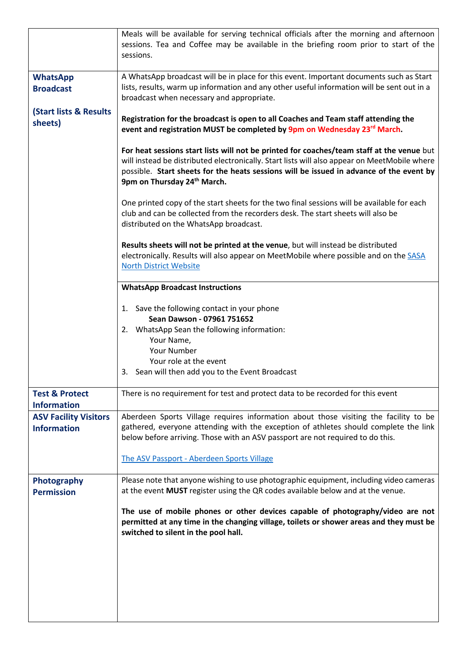|                                                    | Meals will be available for serving technical officials after the morning and afternoon<br>sessions. Tea and Coffee may be available in the briefing room prior to start of the<br>sessions.                                                                                                                                    |  |  |  |
|----------------------------------------------------|---------------------------------------------------------------------------------------------------------------------------------------------------------------------------------------------------------------------------------------------------------------------------------------------------------------------------------|--|--|--|
| <b>WhatsApp</b><br><b>Broadcast</b>                | A WhatsApp broadcast will be in place for this event. Important documents such as Start<br>lists, results, warm up information and any other useful information will be sent out in a<br>broadcast when necessary and appropriate.                                                                                              |  |  |  |
| <b>(Start lists &amp; Results</b><br>sheets)       | Registration for the broadcast is open to all Coaches and Team staff attending the<br>event and registration MUST be completed by 9pm on Wednesday 23rd March.                                                                                                                                                                  |  |  |  |
|                                                    | For heat sessions start lists will not be printed for coaches/team staff at the venue but<br>will instead be distributed electronically. Start lists will also appear on MeetMobile where<br>possible. Start sheets for the heats sessions will be issued in advance of the event by<br>9pm on Thursday 24 <sup>th</sup> March. |  |  |  |
|                                                    | One printed copy of the start sheets for the two final sessions will be available for each<br>club and can be collected from the recorders desk. The start sheets will also be<br>distributed on the WhatsApp broadcast.                                                                                                        |  |  |  |
|                                                    | Results sheets will not be printed at the venue, but will instead be distributed<br>electronically. Results will also appear on MeetMobile where possible and on the SASA<br><b>North District Website</b>                                                                                                                      |  |  |  |
|                                                    | <b>WhatsApp Broadcast Instructions</b>                                                                                                                                                                                                                                                                                          |  |  |  |
|                                                    | 1. Save the following contact in your phone<br>Sean Dawson - 07961 751652                                                                                                                                                                                                                                                       |  |  |  |
|                                                    | 2. WhatsApp Sean the following information:<br>Your Name,                                                                                                                                                                                                                                                                       |  |  |  |
|                                                    | Your Number<br>Your role at the event                                                                                                                                                                                                                                                                                           |  |  |  |
|                                                    | 3. Sean will then add you to the Event Broadcast                                                                                                                                                                                                                                                                                |  |  |  |
| <b>Test &amp; Protect</b><br><b>Information</b>    | There is no requirement for test and protect data to be recorded for this event                                                                                                                                                                                                                                                 |  |  |  |
| <b>ASV Facility Visitors</b><br><b>Information</b> | Aberdeen Sports Village requires information about those visiting the facility to be<br>gathered, everyone attending with the exception of athletes should complete the link<br>below before arriving. Those with an ASV passport are not required to do this.                                                                  |  |  |  |
|                                                    | The ASV Passport - Aberdeen Sports Village                                                                                                                                                                                                                                                                                      |  |  |  |
| Photography<br><b>Permission</b>                   | Please note that anyone wishing to use photographic equipment, including video cameras<br>at the event MUST register using the QR codes available below and at the venue.                                                                                                                                                       |  |  |  |
|                                                    | The use of mobile phones or other devices capable of photography/video are not<br>permitted at any time in the changing village, toilets or shower areas and they must be<br>switched to silent in the pool hall.                                                                                                               |  |  |  |
|                                                    |                                                                                                                                                                                                                                                                                                                                 |  |  |  |
|                                                    |                                                                                                                                                                                                                                                                                                                                 |  |  |  |
|                                                    |                                                                                                                                                                                                                                                                                                                                 |  |  |  |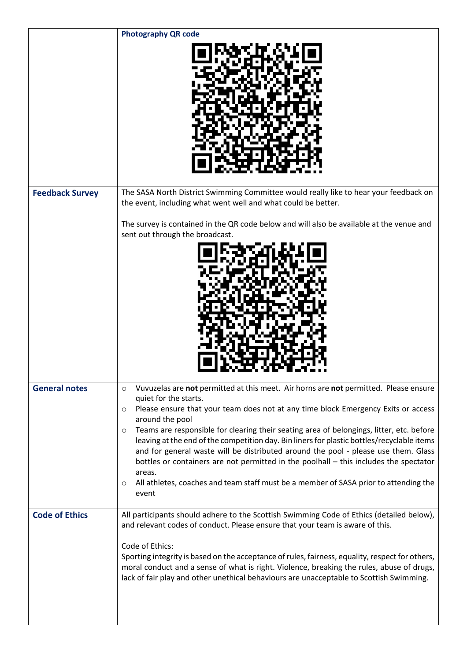|                        | <b>Photography QR code</b>                                                                                                                                                                                                                                                                                                                                                                                    |
|------------------------|---------------------------------------------------------------------------------------------------------------------------------------------------------------------------------------------------------------------------------------------------------------------------------------------------------------------------------------------------------------------------------------------------------------|
|                        |                                                                                                                                                                                                                                                                                                                                                                                                               |
| <b>Feedback Survey</b> | The SASA North District Swimming Committee would really like to hear your feedback on<br>the event, including what went well and what could be better.                                                                                                                                                                                                                                                        |
|                        | The survey is contained in the QR code below and will also be available at the venue and<br>sent out through the broadcast.                                                                                                                                                                                                                                                                                   |
|                        |                                                                                                                                                                                                                                                                                                                                                                                                               |
| <b>General notes</b>   | Vuvuzelas are not permitted at this meet. Air horns are not permitted. Please ensure<br>$\circ$<br>quiet for the starts.<br>Please ensure that your team does not at any time block Emergency Exits or access<br>$\circ$                                                                                                                                                                                      |
|                        | around the pool<br>Teams are responsible for clearing their seating area of belongings, litter, etc. before<br>$\circ$<br>leaving at the end of the competition day. Bin liners for plastic bottles/recyclable items<br>and for general waste will be distributed around the pool - please use them. Glass<br>bottles or containers are not permitted in the poolhall - this includes the spectator<br>areas. |
|                        | All athletes, coaches and team staff must be a member of SASA prior to attending the<br>$\circ$<br>event                                                                                                                                                                                                                                                                                                      |
| <b>Code of Ethics</b>  | All participants should adhere to the Scottish Swimming Code of Ethics (detailed below),<br>and relevant codes of conduct. Please ensure that your team is aware of this.<br>Code of Ethics:<br>Sporting integrity is based on the acceptance of rules, fairness, equality, respect for others,                                                                                                               |
|                        | moral conduct and a sense of what is right. Violence, breaking the rules, abuse of drugs,<br>lack of fair play and other unethical behaviours are unacceptable to Scottish Swimming.                                                                                                                                                                                                                          |